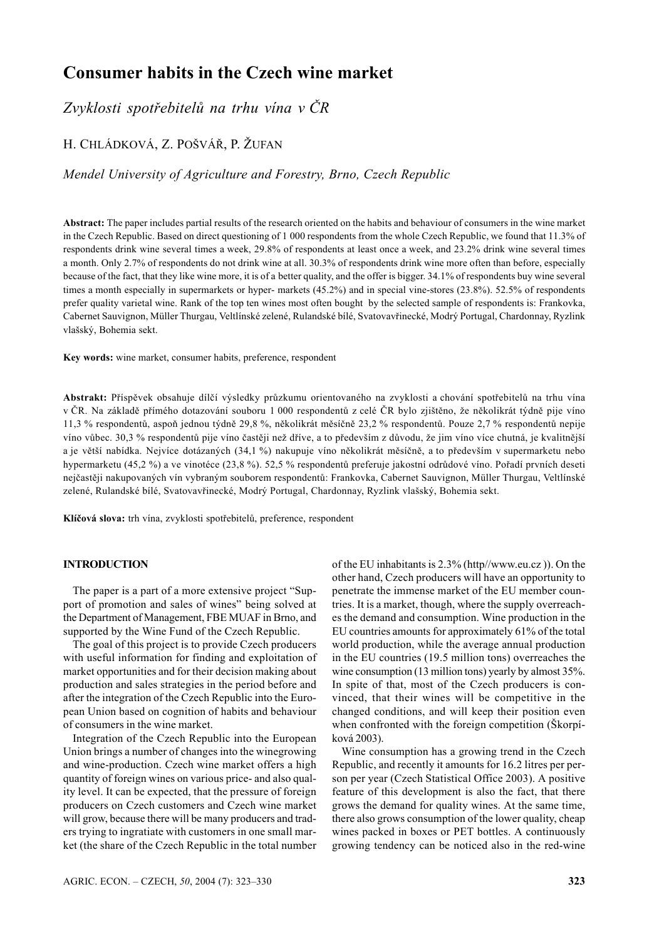# **Consumer habits in the Czech wine market**

*Zvyklosti spotřebitelů na trhu vína v ČR*

# H. CHLÁDKOVÁ, Z. POŠVÁŘ, P. ŽUFAN

## *Mendel University of Agriculture and Forestry, Brno, Czech Republic*

**Abstract:** The paper includes partial results of the research oriented on the habits and behaviour of consumers in the wine market in the Czech Republic. Based on direct questioning of 1 000 respondents from the whole Czech Republic, we found that 11.3% of respondents drink wine several times a week, 29.8% of respondents at least once a week, and 23.2% drink wine several times a month. Only 2.7% of respondents do not drink wine at all. 30.3% of respondents drink wine more often than before, especially because of the fact, that they like wine more, it is of a better quality, and the offer is bigger. 34.1% of respondents buy wine several times a month especially in supermarkets or hyper- markets (45.2%) and in special vine-stores (23.8%). 52.5% of respondents prefer quality varietal wine. Rank of the top ten wines most often bought by the selected sample of respondents is: Frankovka, Cabernet Sauvignon, Müller Thurgau, Veltlínské zelené, Rulandské bílé, Svatovavřinecké, Modrý Portugal, Chardonnay, Ryzlink vlašský, Bohemia sekt.

**Key words:** wine market, consumer habits, preference, respondent

**Abstrakt:** Příspěvek obsahuje dílčí výsledky průzkumu orientovaného na zvyklosti a chování spotřebitelů na trhu vína v ČR. Na základě přímého dotazování souboru 1 000 respondentů z celé ČR bylo zjištěno, že několikrát týdně pije víno 11,3 % respondentů, aspoň jednou týdně 29,8 %, několikrát měsíčně 23,2 % respondentů. Pouze 2,7 % respondentů nepije víno vůbec. 30,3 % respondentů pije víno častěji než dříve, a to především z důvodu, že jim víno více chutná, je kvalitnější a je větší nabídka. Nejvíce dotázaných (34,1 %) nakupuje víno několikrát měsíčně, a to především v supermarketu nebo hypermarketu (45,2 %) a ve vinotéce (23,8 %). 52,5 % respondentů preferuje jakostní odrůdové víno. Pořadí prvních deseti nejčastěji nakupovaných vín vybraným souborem respondentů: Frankovka, Cabernet Sauvignon, Müller Thurgau, Veltlínské zelené, Rulandské bílé, Svatovavřinecké, Modrý Portugal, Chardonnay, Ryzlink vlašský, Bohemia sekt.

**Klíčová slova:** trh vína, zvyklosti spotřebitelů, preference, respondent

#### **INTRODUCTION**

The paper is a part of a more extensive project "Support of promotion and sales of wines" being solved at the Department of Management, FBE MUAF in Brno, and supported by the Wine Fund of the Czech Republic.

The goal of this project is to provide Czech producers with useful information for finding and exploitation of market opportunities and for their decision making about production and sales strategies in the period before and after the integration of the Czech Republic into the European Union based on cognition of habits and behaviour of consumers in the wine market.

Integration of the Czech Republic into the European Union brings a number of changes into the winegrowing and wine-production. Czech wine market offers a high quantity of foreign wines on various price- and also quality level. It can be expected, that the pressure of foreign producers on Czech customers and Czech wine market will grow, because there will be many producers and traders trying to ingratiate with customers in one small market (the share of the Czech Republic in the total number of the EU inhabitants is 2.3% (http//www.eu.cz )). On the other hand, Czech producers will have an opportunity to penetrate the immense market of the EU member countries. It is a market, though, where the supply overreaches the demand and consumption. Wine production in the EU countries amounts for approximately 61% of the total world production, while the average annual production in the EU countries (19.5 million tons) overreaches the wine consumption (13 million tons) yearly by almost 35%. In spite of that, most of the Czech producers is convinced, that their wines will be competitive in the changed conditions, and will keep their position even when confronted with the foreign competition (Škorpíková 2003).

Wine consumption has a growing trend in the Czech Republic, and recently it amounts for 16.2 litres per person per year (Czech Statistical Office 2003). A positive feature of this development is also the fact, that there grows the demand for quality wines. At the same time, there also grows consumption of the lower quality, cheap wines packed in boxes or PET bottles. A continuously growing tendency can be noticed also in the red-wine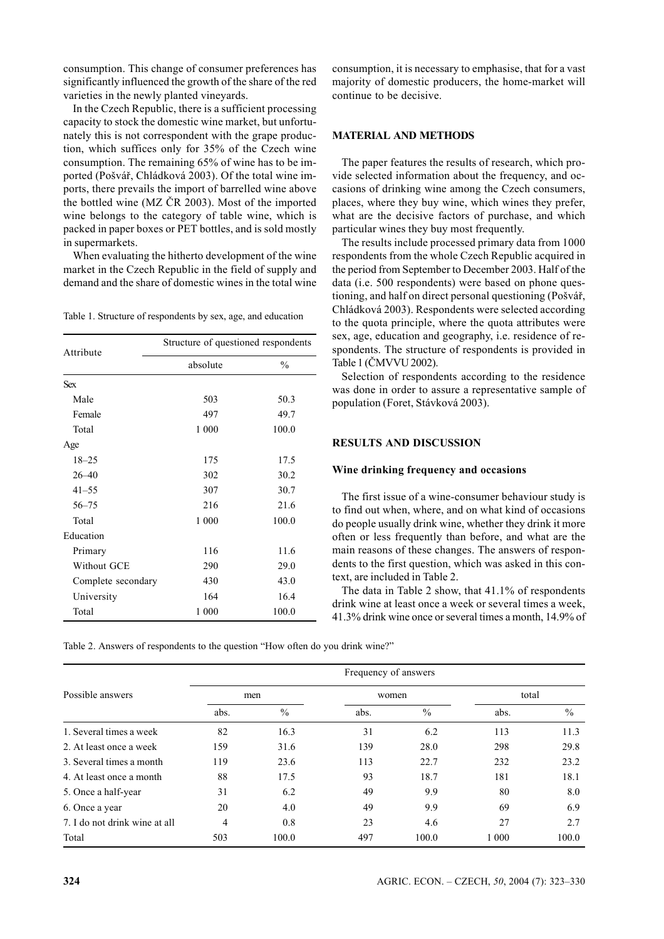consumption. This change of consumer preferences has significantly influenced the growth of the share of the red varieties in the newly planted vineyards.

In the Czech Republic, there is a sufficient processing capacity to stock the domestic wine market, but unfortunately this is not correspondent with the grape production, which suffices only for 35% of the Czech wine consumption. The remaining 65% of wine has to be imported (Pošvář, Chládková 2003). Of the total wine imports, there prevails the import of barrelled wine above the bottled wine (MZ ČR 2003). Most of the imported wine belongs to the category of table wine, which is packed in paper boxes or PET bottles, and is sold mostly in supermarkets.

When evaluating the hitherto development of the wine market in the Czech Republic in the field of supply and demand and the share of domestic wines in the total wine

Table 1. Structure of respondents by sex, age, and education

| Attribute          | Structure of questioned respondents |               |  |  |  |
|--------------------|-------------------------------------|---------------|--|--|--|
|                    | absolute                            | $\frac{0}{0}$ |  |  |  |
| <b>Sex</b>         |                                     |               |  |  |  |
| Male               | 503                                 | 50.3          |  |  |  |
| Female             | 497                                 | 49.7          |  |  |  |
| Total              | 1 000                               | 100.0         |  |  |  |
| Age                |                                     |               |  |  |  |
| $18 - 25$          | 175                                 | 17.5          |  |  |  |
| $26 - 40$          | 302                                 | 30.2          |  |  |  |
| $41 - 55$          | 307                                 | 30.7          |  |  |  |
| $56 - 75$          | 216                                 | 21.6          |  |  |  |
| Total              | 1 000                               | 100.0         |  |  |  |
| Education          |                                     |               |  |  |  |
| Primary            | 116                                 | 11.6          |  |  |  |
| Without GCE        | 290                                 | 29.0          |  |  |  |
| Complete secondary | 430                                 | 43.0          |  |  |  |
| University         | 164                                 | 16.4          |  |  |  |
| Total              | 1 000                               | 100.0         |  |  |  |

consumption, it is necessary to emphasise, that for a vast majority of domestic producers, the home-market will continue to be decisive.

## **MATERIAL AND METHODS**

The paper features the results of research, which provide selected information about the frequency, and occasions of drinking wine among the Czech consumers, places, where they buy wine, which wines they prefer, what are the decisive factors of purchase, and which particular wines they buy most frequently.

The results include processed primary data from 1000 respondents from the whole Czech Republic acquired in the period from September to December 2003. Half of the data (i.e. 500 respondents) were based on phone questioning, and half on direct personal questioning (Pošvář, Chládková 2003). Respondents were selected according to the quota principle, where the quota attributes were sex, age, education and geography, i.e. residence of respondents. The structure of respondents is provided in Table 1 (ČMVVU 2002).

Selection of respondents according to the residence was done in order to assure a representative sample of population (Foret, Stávková 2003).

### **RESULTS AND DISCUSSION**

### **Wine drinking frequency and occasions**

The first issue of a wine-consumer behaviour study is to find out when, where, and on what kind of occasions do people usually drink wine, whether they drink it more often or less frequently than before, and what are the main reasons of these changes. The answers of respondents to the first question, which was asked in this context, are included in Table 2.

The data in Table 2 show, that 41.1% of respondents drink wine at least once a week or several times a week, 41.3% drink wine once or several times a month, 14.9% of

Table 2. Answers of respondents to the question "How often do you drink wine?"

|                               | Frequency of answers |               |       |       |         |               |
|-------------------------------|----------------------|---------------|-------|-------|---------|---------------|
| Possible answers              | men                  |               | women |       | total   |               |
|                               | abs.                 | $\frac{0}{0}$ | abs.  | $\%$  | abs.    | $\frac{0}{0}$ |
| 1. Several times a week       | 82                   | 16.3          | 31    | 6.2   | 113     | 11.3          |
| 2. At least once a week       | 159                  | 31.6          | 139   | 28.0  | 298     | 29.8          |
| 3. Several times a month      | 119                  | 23.6          | 113   | 22.7  | 232     | 23.2          |
| 4. At least once a month      | 88                   | 17.5          | 93    | 18.7  | 181     | 18.1          |
| 5. Once a half-year           | 31                   | 6.2           | 49    | 9.9   | 80      | 8.0           |
| 6. Once a year                | 20                   | 4.0           | 49    | 9.9   | 69      | 6.9           |
| 7. I do not drink wine at all | 4                    | 0.8           | 23    | 4.6   | 27      | 2.7           |
| Total                         | 503                  | 100.0         | 497   | 100.0 | 1 0 0 0 | 100.0         |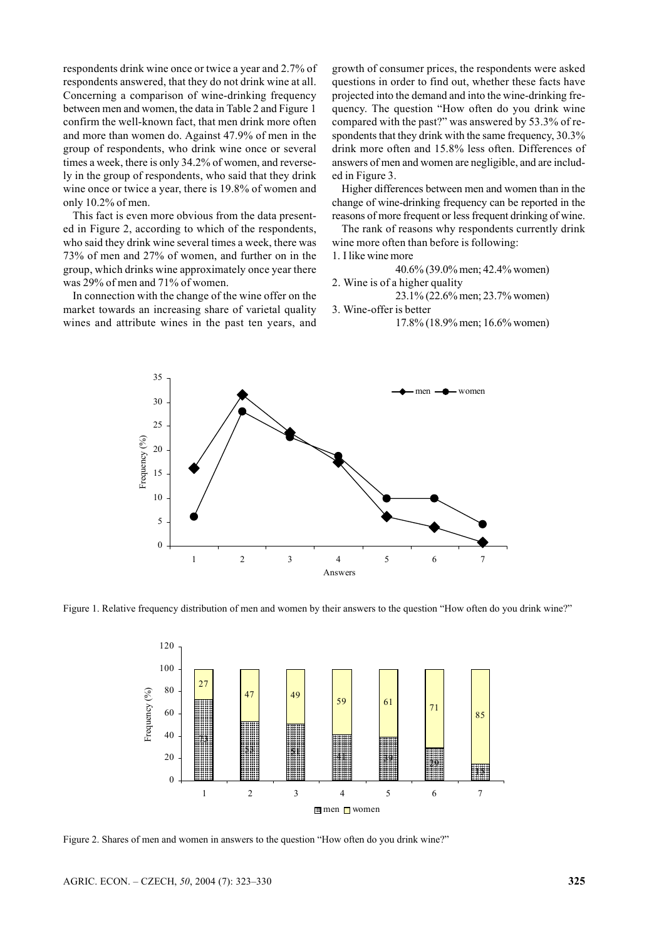respondents drink wine once or twice a year and 2.7% of respondents answered, that they do not drink wine at all. Concerning a comparison of wine-drinking frequency between men and women, the data in Table 2 and Figure 1 confirm the well-known fact, that men drink more often and more than women do. Against 47.9% of men in the group of respondents, who drink wine once or several times a week, there is only 34.2% of women, and reversely in the group of respondents, who said that they drink wine once or twice a year, there is 19.8% of women and only 10.2% of men.

This fact is even more obvious from the data presented in Figure 2, according to which of the respondents, who said they drink wine several times a week, there was 73% of men and 27% of women, and further on in the group, which drinks wine approximately once year there was 29% of men and 71% of women.

In connection with the change of the wine offer on the market towards an increasing share of varietal quality wines and attribute wines in the past ten years, and

growth of consumer prices, the respondents were asked questions in order to find out, whether these facts have projected into the demand and into the wine-drinking frequency. The question "How often do you drink wine compared with the past?" was answered by 53.3% of respondents that they drink with the same frequency, 30.3% drink more often and 15.8% less often. Differences of answers of men and women are negligible, and are included in Figure 3.

Higher differences between men and women than in the change of wine-drinking frequency can be reported in the reasons of more frequent or less frequent drinking of wine.

The rank of reasons why respondents currently drink wine more often than before is following:

1. I like wine more

40.6% (39.0% men; 42.4% women)

2. Wine is of a higher quality

23.1% (22.6% men; 23.7% women)

3. Wine-offer is better

17.8% (18.9% men; 16.6% women)



Figure 1. Relative frequency distribution of men and women by their answers to the question "How often do you drink wine?"



Figure 2. Shares of men and women in answers to the question "How often do you drink wine?"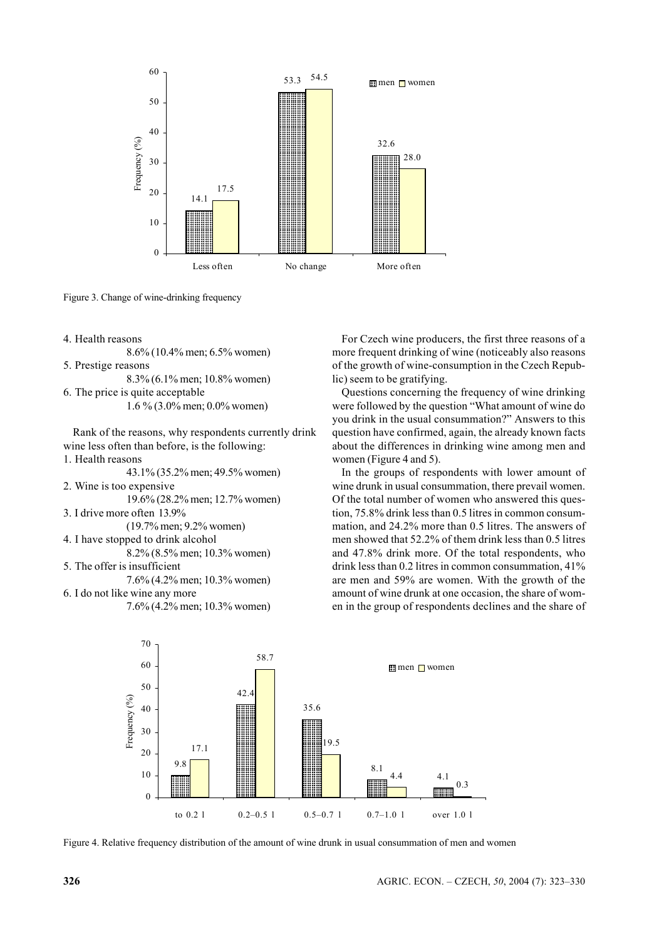

Figure 3. Change of wine-drinking frequency

4. Health reasons

8.6% (10.4% men; 6.5% women)

5. Prestige reasons

8.3% (6.1% men; 10.8% women) 6. The price is quite acceptable

1.6 % (3.0% men; 0.0% women)

Rank of the reasons, why respondents currently drink wine less often than before, is the following: 1. Health reasons

43.1% (35.2% men; 49.5% women) 2. Wine is too expensive

19.6% (28.2% men; 12.7% women)

- 3. I drive more often 13.9%
- (19.7% men; 9.2% women)

4. I have stopped to drink alcohol 8.2% (8.5% men; 10.3% women)

5. The offer is insufficient

7.6% (4.2% men; 10.3% women)

6. I do not like wine any more

7.6% (4.2% men; 10.3% women)

For Czech wine producers, the first three reasons of a more frequent drinking of wine (noticeably also reasons of the growth of wine-consumption in the Czech Republic) seem to be gratifying.

Questions concerning the frequency of wine drinking were followed by the question "What amount of wine do you drink in the usual consummation?" Answers to this question have confirmed, again, the already known facts about the differences in drinking wine among men and women (Figure 4 and 5).

In the groups of respondents with lower amount of wine drunk in usual consummation, there prevail women. Of the total number of women who answered this question, 75.8% drink less than 0.5 litres in common consummation, and 24.2% more than 0.5 litres. The answers of men showed that 52.2% of them drink less than 0.5 litres and 47.8% drink more. Of the total respondents, who drink less than 0.2 litres in common consummation, 41% are men and 59% are women. With the growth of the amount of wine drunk at one occasion, the share of women in the group of respondents declines and the share of



Figure 4. Relative frequency distribution of the amount of wine drunk in usual consummation of men and women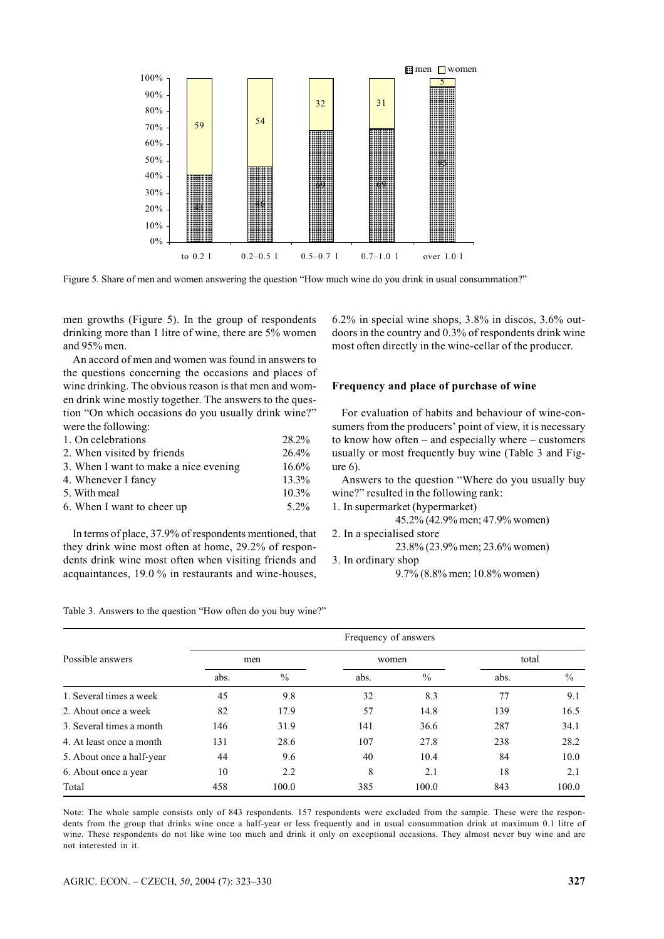

Figure 5. Share of men and women answering the question "How much wine do you drink in usual consummation?"

men growths (Figure 5). In the group of respondents drinking more than 1 litre of wine, there are 5% women and 95% men.

An accord of men and women was found in answers to the questions concerning the occasions and places of wine drinking. The obvious reason is that men and women drink wine mostly together. The answers to the question "On which occasions do you usually drink wine?" were the following:

| 1. On celebrations                    | 28.2%    |
|---------------------------------------|----------|
| 2. When visited by friends            | 26.4%    |
| 3. When I want to make a nice evening | 16.6%    |
| 4. Whenever I fancy                   | $13.3\%$ |
| 5. With meal                          | $10.3\%$ |
| 6. When I want to cheer up            | $5.2\%$  |

In terms of place, 37.9% of respondents mentioned, that they drink wine most often at home, 29.2% of respondents drink wine most often when visiting friends and acquaintances, 19.0 % in restaurants and wine-houses,

6.2% in special wine shops, 3.8% in discos, 3.6% outdoors in the country and 0.3% of respondents drink wine most often directly in the wine-cellar of the producer.

#### **Frequency and place of purchase of wine**

For evaluation of habits and behaviour of wine-consumers from the producers' point of view, it is necessary to know how often – and especially where – customers usually or most frequently buy wine (Table 3 and Figure 6).

Answers to the question "Where do you usually buy wine?" resulted in the following rank:

1. In supermarket (hypermarket)

45.2% (42.9% men; 47.9% women)

```
2. In a specialised store
```
23.8% (23.9% men; 23.6% women)

#### 3. In ordinary shop

9.7% (8.8% men; 10.8% women)

| Table 3. Answers to the question "How often do you buy wine?" |  |  |
|---------------------------------------------------------------|--|--|
|                                                               |  |  |

|                           | Frequency of answers |       |       |               |       |       |  |
|---------------------------|----------------------|-------|-------|---------------|-------|-------|--|
| Possible answers          | men                  |       | women |               | total |       |  |
|                           | abs.                 | $\%$  | abs.  | $\frac{0}{0}$ | abs.  | $\%$  |  |
| 1. Several times a week   | 45                   | 9.8   | 32    | 8.3           | 77    | 9.1   |  |
| 2. About once a week      | 82                   | 17.9  | 57    | 14.8          | 139   | 16.5  |  |
| 3. Several times a month  | 146                  | 31.9  | 141   | 36.6          | 287   | 34.1  |  |
| 4. At least once a month  | 131                  | 28.6  | 107   | 27.8          | 238   | 28.2  |  |
| 5. About once a half-year | 44                   | 9.6   | 40    | 10.4          | 84    | 10.0  |  |
| 6. About once a year      | 10                   | 2.2   | 8     | 2.1           | 18    | 2.1   |  |
| Total                     | 458                  | 100.0 | 385   | 100.0         | 843   | 100.0 |  |

Note: The whole sample consists only of 843 respondents. 157 respondents were excluded from the sample. These were the respondents from the group that drinks wine once a half-year or less frequently and in usual consummation drink at maximum 0.1 litre of wine. These respondents do not like wine too much and drink it only on exceptional occasions. They almost never buy wine and are not interested in it.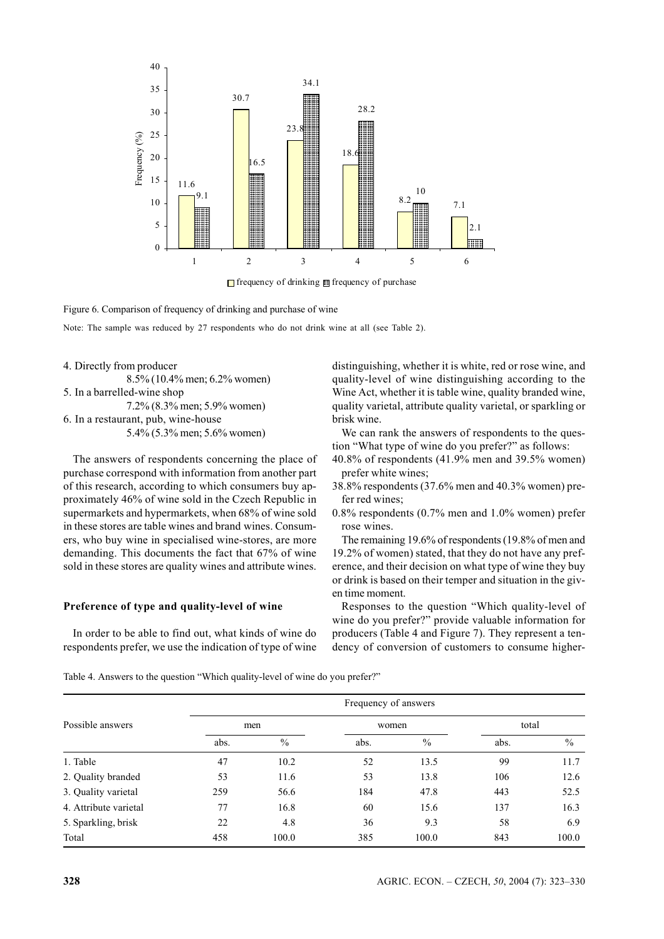

frequency of drinking frequency of purchase

Figure 6. Comparison of frequency of drinking and purchase of wine

Note: The sample was reduced by 27 respondents who do not drink wine at all (see Table 2).

4. Directly from producer 8.5% (10.4% men; 6.2% women) 5. In a barrelled-wine shop 7.2% (8.3% men; 5.9% women) 6. In a restaurant, pub, wine-house 5.4% (5.3% men; 5.6% women)

The answers of respondents concerning the place of purchase correspond with information from another part of this research, according to which consumers buy approximately 46% of wine sold in the Czech Republic in supermarkets and hypermarkets, when 68% of wine sold in these stores are table wines and brand wines. Consumers, who buy wine in specialised wine-stores, are more demanding. This documents the fact that 67% of wine sold in these stores are quality wines and attribute wines.

#### **Preference of type and quality-level of wine**

In order to be able to find out, what kinds of wine do respondents prefer, we use the indication of type of wine distinguishing, whether it is white, red or rose wine, and quality-level of wine distinguishing according to the Wine Act, whether it is table wine, quality branded wine, quality varietal, attribute quality varietal, or sparkling or brisk wine.

We can rank the answers of respondents to the question "What type of wine do you prefer?" as follows:

- 40.8% of respondents (41.9% men and 39.5% women) prefer white wines;
- 38.8% respondents (37.6% men and 40.3% women) prefer red wines;
- 0.8% respondents (0.7% men and 1.0% women) prefer rose wines.

The remaining 19.6% of respondents (19.8% of men and 19.2% of women) stated, that they do not have any preference, and their decision on what type of wine they buy or drink is based on their temper and situation in the given time moment.

Responses to the question "Which quality-level of wine do you prefer?" provide valuable information for producers (Table 4 and Figure 7). They represent a tendency of conversion of customers to consume higher-

Table 4. Answers to the question "Which quality-level of wine do you prefer?"

| Possible answers      |      | Frequency of answers |       |               |       |               |  |
|-----------------------|------|----------------------|-------|---------------|-------|---------------|--|
|                       | men  |                      | women |               | total |               |  |
|                       | abs. | $\frac{0}{0}$        | abs.  | $\frac{0}{0}$ | abs.  | $\frac{0}{0}$ |  |
| 1. Table              | 47   | 10.2                 | 52    | 13.5          | 99    | 11.7          |  |
| 2. Quality branded    | 53   | 11.6                 | 53    | 13.8          | 106   | 12.6          |  |
| 3. Quality varietal   | 259  | 56.6                 | 184   | 47.8          | 443   | 52.5          |  |
| 4. Attribute varietal | 77   | 16.8                 | 60    | 15.6          | 137   | 16.3          |  |
| 5. Sparkling, brisk   | 22   | 4.8                  | 36    | 9.3           | 58    | 6.9           |  |
| Total                 | 458  | 100.0                | 385   | 100.0         | 843   | 100.0         |  |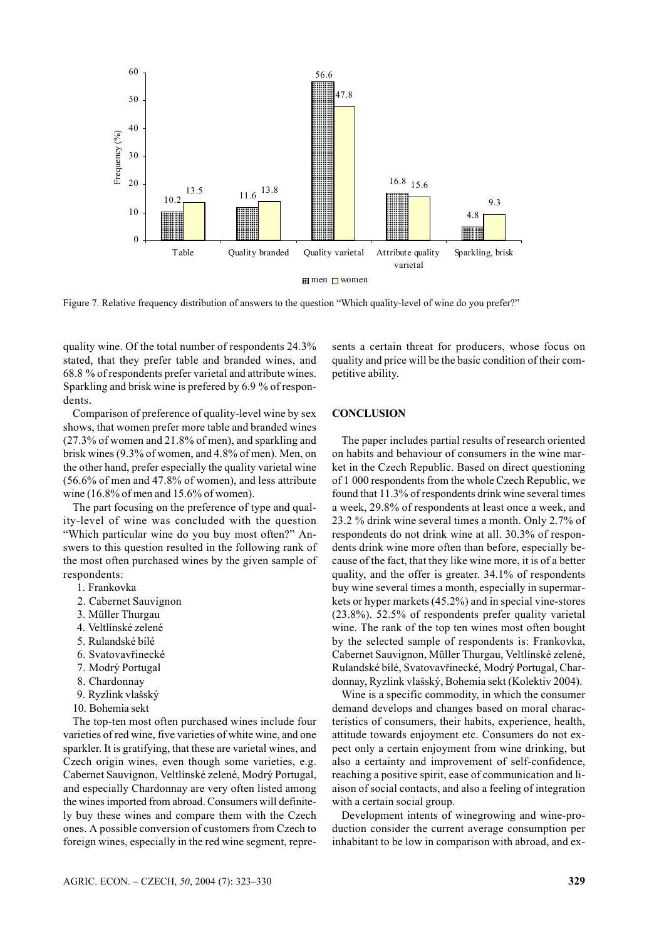

Figure 7. Relative frequency distribution of answers to the question "Which quality-level of wine do you prefer?"

quality wine. Of the total number of respondents 24.3% stated, that they prefer table and branded wines, and 68.8 % of respondents prefer varietal and attribute wines. Sparkling and brisk wine is prefered by 6.9 % of respondents.

Comparison of preference of quality-level wine by sex shows, that women prefer more table and branded wines (27.3% of women and 21.8% of men), and sparkling and brisk wines (9.3% of women, and 4.8% of men). Men, on the other hand, prefer especially the quality varietal wine (56.6% of men and 47.8% of women), and less attribute wine (16.8% of men and 15.6% of women).

The part focusing on the preference of type and quality-level of wine was concluded with the question "Which particular wine do you buy most often?" Answers to this question resulted in the following rank of the most often purchased wines by the given sample of respondents:

- 1. Frankovka
- 2. Cabernet Sauvignon
- 3. Müller Thurgau
- 4. Veltlínské zelené
- 5. Rulandské bílé
- 6. Svatovavřinecké
- 7. Modrý Portugal
- 8. Chardonnay
- 9. Ryzlink vlašský
- 10. Bohemia sekt

The top-ten most often purchased wines include four varieties of red wine, five varieties of white wine, and one sparkler. It is gratifying, that these are varietal wines, and Czech origin wines, even though some varieties, e.g. Cabernet Sauvignon, Veltlínské zelené, Modrý Portugal, and especially Chardonnay are very often listed among the wines imported from abroad. Consumers will definitely buy these wines and compare them with the Czech ones. A possible conversion of customers from Czech to foreign wines, especially in the red wine segment, represents a certain threat for producers, whose focus on quality and price will be the basic condition of their competitive ability.

#### **CONCLUSION**

The paper includes partial results of research oriented on habits and behaviour of consumers in the wine market in the Czech Republic. Based on direct questioning of 1 000 respondents from the whole Czech Republic, we found that 11.3% of respondents drink wine several times a week, 29.8% of respondents at least once a week, and 23.2 % drink wine several times a month. Only 2.7% of respondents do not drink wine at all. 30.3% of respondents drink wine more often than before, especially because of the fact, that they like wine more, it is of a better quality, and the offer is greater. 34.1% of respondents buy wine several times a month, especially in supermarkets or hyper markets (45.2%) and in special vine-stores (23.8%). 52.5% of respondents prefer quality varietal wine. The rank of the top ten wines most often bought by the selected sample of respondents is: Frankovka, Cabernet Sauvignon, Müller Thurgau, Veltlínské zelené, Rulandské bílé, Svatovavřinecké, Modrý Portugal, Chardonnay, Ryzlink vlašský, Bohemia sekt (Kolektiv 2004).

Wine is a specific commodity, in which the consumer demand develops and changes based on moral characteristics of consumers, their habits, experience, health, attitude towards enjoyment etc. Consumers do not expect only a certain enjoyment from wine drinking, but also a certainty and improvement of self-confidence, reaching a positive spirit, ease of communication and liaison of social contacts, and also a feeling of integration with a certain social group.

Development intents of winegrowing and wine-production consider the current average consumption per inhabitant to be low in comparison with abroad, and ex-